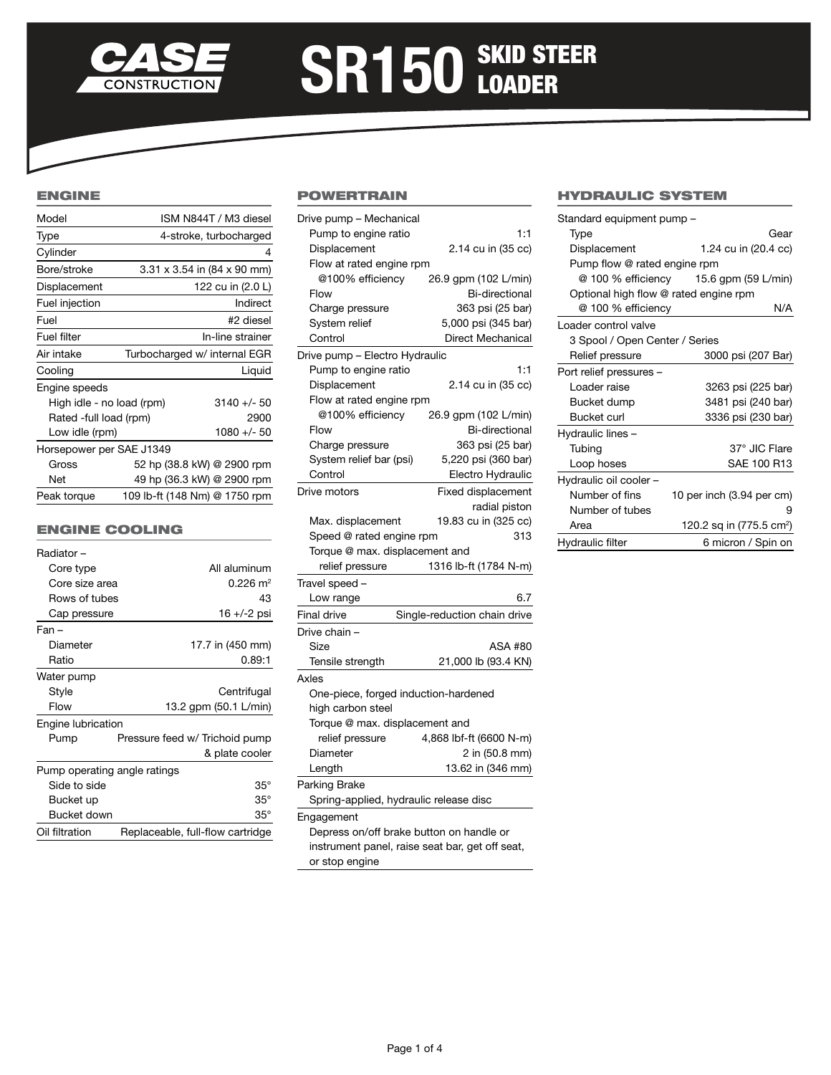

# SR150 SKID STEER

## ENGINE

| Model                     | ISM N844T / M3 diesel              |  |
|---------------------------|------------------------------------|--|
| Type                      | 4-stroke, turbocharged             |  |
| Cylinder                  | 4                                  |  |
| Bore/stroke               | $3.31 \times 3.54$ in (84 x 90 mm) |  |
| Displacement              | 122 cu in (2.0 L)                  |  |
| Fuel injection            | Indirect                           |  |
| Fuel                      | #2 diesel                          |  |
| Fuel filter               | In-line strainer                   |  |
| Air intake                | Turbocharged w/ internal EGR       |  |
| Cooling                   | Liquid                             |  |
| Engine speeds             |                                    |  |
| High idle - no load (rpm) | $3140 +/- 50$                      |  |
| Rated -full load (rpm)    | 2900                               |  |
| Low idle (rpm)            | $1080 +/- 50$                      |  |
| Horsepower per SAE J1349  |                                    |  |
| Gross                     | 52 hp (38.8 kW) @ 2900 rpm         |  |
| Net                       | 49 hp (36.3 kW) @ 2900 rpm         |  |
| Peak torque               | 109 lb-ft (148 Nm) @ 1750 rpm      |  |

## Engine Cooling

| Radiator-                    |                                  |  |  |  |
|------------------------------|----------------------------------|--|--|--|
| Core type                    | All aluminum                     |  |  |  |
| Core size area               | $0.226 \text{ m}^2$              |  |  |  |
| Rows of tubes                | 43                               |  |  |  |
| Cap pressure                 | 16 +/-2 psi                      |  |  |  |
| $Fan -$                      |                                  |  |  |  |
| Diameter                     | 17.7 in (450 mm)                 |  |  |  |
| Ratio                        | 0.89:1                           |  |  |  |
| Water pump                   |                                  |  |  |  |
| Style                        | Centrifugal                      |  |  |  |
| Flow                         | 13.2 gpm (50.1 L/min)            |  |  |  |
| Engine lubrication           |                                  |  |  |  |
| Pump                         | Pressure feed w/ Trichoid pump   |  |  |  |
|                              | & plate cooler                   |  |  |  |
| Pump operating angle ratings |                                  |  |  |  |
| Side to side                 | $35^\circ$                       |  |  |  |
| Bucket up                    | $35^\circ$                       |  |  |  |
| Bucket down                  | $35^\circ$                       |  |  |  |
| Oil filtration               | Replaceable, full-flow cartridge |  |  |  |

## **POWERTRAIN**

| Drive pump - Mechanical                         |                              |  |  |  |
|-------------------------------------------------|------------------------------|--|--|--|
| Pump to engine ratio                            | 1:1                          |  |  |  |
| Displacement                                    | 2.14 cu in (35 cc)           |  |  |  |
| Flow at rated engine rpm                        |                              |  |  |  |
| @100% efficiency                                | 26.9 gpm (102 L/min)         |  |  |  |
| Flow                                            | <b>Bi-directional</b>        |  |  |  |
| Charge pressure                                 | 363 psi (25 bar)             |  |  |  |
| System relief                                   | 5,000 psi (345 bar)          |  |  |  |
| Control                                         | Direct Mechanical            |  |  |  |
| Drive pump - Electro Hydraulic                  |                              |  |  |  |
| Pump to engine ratio                            | 1:1                          |  |  |  |
| Displacement                                    | 2.14 cu in (35 cc)           |  |  |  |
| Flow at rated engine rpm                        |                              |  |  |  |
| @100% efficiency                                | 26.9 gpm (102 L/min)         |  |  |  |
| Flow                                            | Bi-directional               |  |  |  |
| Charge pressure                                 | 363 psi (25 bar)             |  |  |  |
| System relief bar (psi)                         | 5,220 psi (360 bar)          |  |  |  |
| Control                                         | Electro Hydraulic            |  |  |  |
| Drive motors                                    | <b>Fixed displacement</b>    |  |  |  |
|                                                 | radial piston                |  |  |  |
| Max. displacement                               | 19.83 cu in (325 cc)         |  |  |  |
| Speed @ rated engine rpm                        | 313                          |  |  |  |
| Torque @ max. displacement and                  |                              |  |  |  |
| relief pressure                                 | 1316 lb-ft (1784 N-m)        |  |  |  |
| Travel speed -                                  |                              |  |  |  |
| Low range                                       | 6.7                          |  |  |  |
| Final drive                                     | Single-reduction chain drive |  |  |  |
| Drive chain -                                   |                              |  |  |  |
| Size                                            | ASA #80                      |  |  |  |
| Tensile strength                                | 21,000 lb (93.4 KN)          |  |  |  |
| Axles                                           |                              |  |  |  |
| One-piece, forged induction-hardened            |                              |  |  |  |
| high carbon steel                               |                              |  |  |  |
| Torque @ max. displacement and                  |                              |  |  |  |
| relief pressure                                 | 4,868 lbf-ft (6600 N-m)      |  |  |  |
| Diameter                                        | 2 in (50.8 mm)               |  |  |  |
| Length                                          | 13.62 in (346 mm)            |  |  |  |
| Parking Brake                                   |                              |  |  |  |
| Spring-applied, hydraulic release disc          |                              |  |  |  |
| Engagement                                      |                              |  |  |  |
| Depress on/off brake button on handle or        |                              |  |  |  |
| instrument panel, raise seat bar, get off seat, |                              |  |  |  |
| or stop engine                                  |                              |  |  |  |

# Hydraulic System

| Standard equipment pump -                 |                                      |  |  |  |
|-------------------------------------------|--------------------------------------|--|--|--|
| Type                                      | Gear                                 |  |  |  |
| Displacement                              | 1.24 cu in (20.4 cc)                 |  |  |  |
| Pump flow @ rated engine rpm              |                                      |  |  |  |
| @ 100 % efficiency<br>15.6 gpm (59 L/min) |                                      |  |  |  |
| Optional high flow @ rated engine rpm     |                                      |  |  |  |
| @ 100 % efficiency                        | N/A                                  |  |  |  |
| Loader control valve                      |                                      |  |  |  |
| 3 Spool / Open Center / Series            |                                      |  |  |  |
| Relief pressure                           | 3000 psi (207 Bar)                   |  |  |  |
| Port relief pressures -                   |                                      |  |  |  |
| I oader raise                             | 3263 psi (225 bar)                   |  |  |  |
| Bucket dump                               | 3481 psi (240 bar)                   |  |  |  |
| Bucket curl                               | 3336 psi (230 bar)                   |  |  |  |
| Hydraulic lines -                         |                                      |  |  |  |
| Tubing                                    | 37° JIC Flare                        |  |  |  |
| Loop hoses                                | SAE 100 R13                          |  |  |  |
| Hydraulic oil cooler -                    |                                      |  |  |  |
| Number of fins                            | 10 per inch (3.94 per cm)            |  |  |  |
| Number of tubes                           | 9                                    |  |  |  |
| Area                                      | 120.2 sq in (775.5 cm <sup>2</sup> ) |  |  |  |
| Hydraulic filter                          | 6 micron / Spin on                   |  |  |  |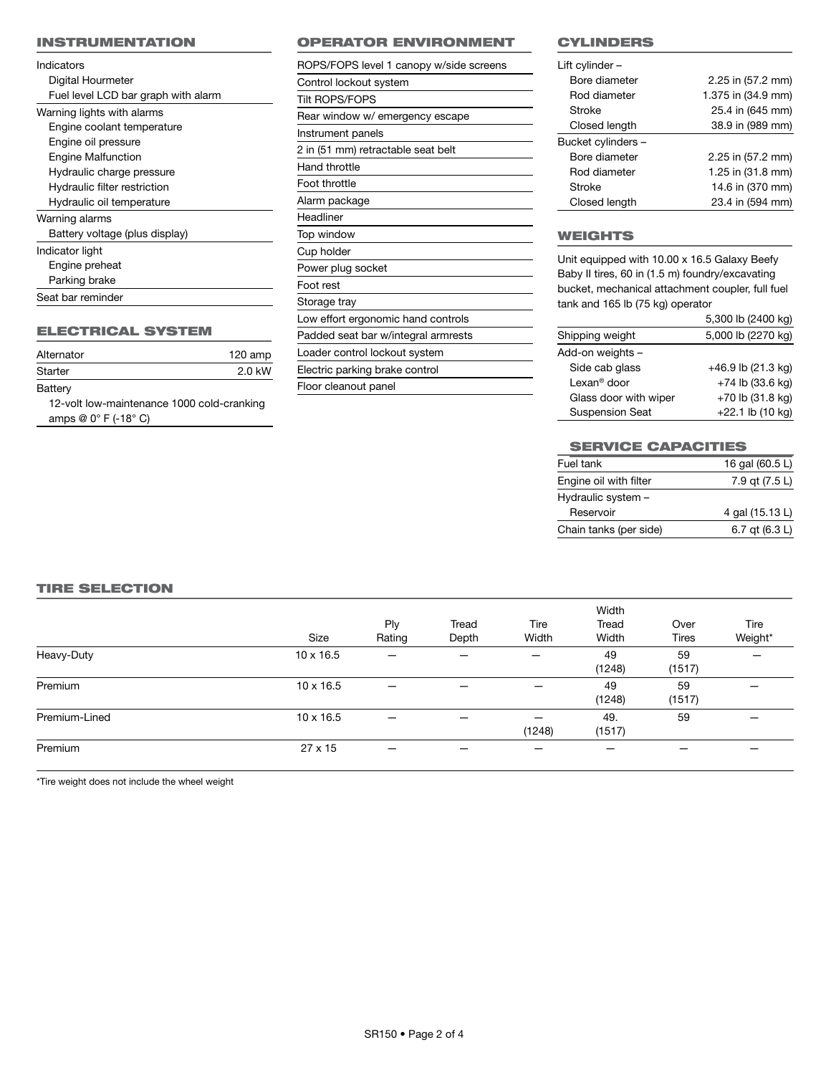### INSTRUMENTATION

| Indicators                          |
|-------------------------------------|
| Digital Hourmeter                   |
| Fuel level LCD bar graph with alarm |
| Warning lights with alarms          |
| Engine coolant temperature          |
| Engine oil pressure                 |
| <b>Engine Malfunction</b>           |
| Hydraulic charge pressure           |
| Hydraulic filter restriction        |
| Hydraulic oil temperature           |
| Warning alarms                      |
| Battery voltage (plus display)      |
| Indicator light                     |
| Engine preheat                      |
| Parking brake                       |
| Seat bar reminder                   |

# ELECTRICAL SYSTEM

| Alternator                                 | 120 amp |
|--------------------------------------------|---------|
| Starter                                    | 2.0 kW  |
| Battery                                    |         |
| 12-volt low-maintenance 1000 cold-cranking |         |

amps @ 0° F (-18° C)

## OPERATOR ENVIRONMENT

| ROPS/FOPS level 1 canopy w/side screens |
|-----------------------------------------|
| Control lockout system                  |
| <b>Tilt ROPS/FOPS</b>                   |
| Rear window w/ emergency escape         |
| Instrument panels                       |
| 2 in (51 mm) retractable seat belt      |
| Hand throttle                           |
| Foot throttle                           |
| Alarm package                           |
| Headliner                               |
| Top window                              |
| Cup holder                              |
| Power plug socket                       |
| Foot rest                               |
| Storage tray                            |
| Low effort ergonomic hand controls      |
| Padded seat bar w/integral armrests     |
|                                         |
| Loader control lockout system           |
| Electric parking brake control          |

## **CYLINDERS**

| Lift cylinder -    |                    |
|--------------------|--------------------|
| Bore diameter      | 2.25 in (57.2 mm)  |
| Rod diameter       | 1.375 in (34.9 mm) |
| Stroke             | 25.4 in (645 mm)   |
| Closed length      | 38.9 in (989 mm)   |
| Bucket cylinders - |                    |
| Bore diameter      | 2.25 in (57.2 mm)  |
| Rod diameter       | 1.25 in (31.8 mm)  |
| Stroke             | 14.6 in (370 mm)   |
| Closed length      | 23.4 in (594 mm)   |
|                    |                    |

# **WEIGHTS**

Unit equipped with 10.00 x 16.5 Galaxy Beefy Baby II tires, 60 in (1.5 m) foundry/excavating bucket, mechanical attachment coupler, full fuel tank and 165 lb (75 kg) operator

|                         | 5,300 lb (2400 kg)   |
|-------------------------|----------------------|
| Shipping weight         | 5,000 lb (2270 kg)   |
| Add-on weights -        |                      |
| Side cab glass          | $+46.9$ lb (21.3 kg) |
| Lexan <sup>®</sup> door | $+74$ lb (33.6 kg)   |
| Glass door with wiper   | $+70$ lb (31.8 kg)   |
| <b>Suspension Seat</b>  | +22.1 lb (10 kg)     |

# **SERVICE CAPACITIES**

| Fuel tank              | 16 gal (60.5 L) |
|------------------------|-----------------|
| Engine oil with filter | 7.9 gt (7.5 L)  |
| Hydraulic system -     |                 |
| Reservoir              | 4 gal (15.13 L) |
| Chain tanks (per side) | 6.7 at (6.3 L)  |

## TIRE SELECTION

|               |                  |        |       |        | Width         |              |         |
|---------------|------------------|--------|-------|--------|---------------|--------------|---------|
|               |                  | Ply    | Tread | Tire   | Tread         | Over         | Tire    |
|               | Size             | Rating | Depth | Width  | Width         | <b>Tires</b> | Weight* |
| Heavy-Duty    | $10 \times 16.5$ | –      |       |        | 49<br>(1248)  | 59<br>(1517) |         |
| Premium       | $10 \times 16.5$ |        | —     |        | 49<br>(1248)  | 59<br>(1517) |         |
| Premium-Lined | $10 \times 16.5$ |        |       | (1248) | 49.<br>(1517) | 59           |         |
| Premium       | $27 \times 15$   | –      |       |        |               |              |         |

\*Tire weight does not include the wheel weight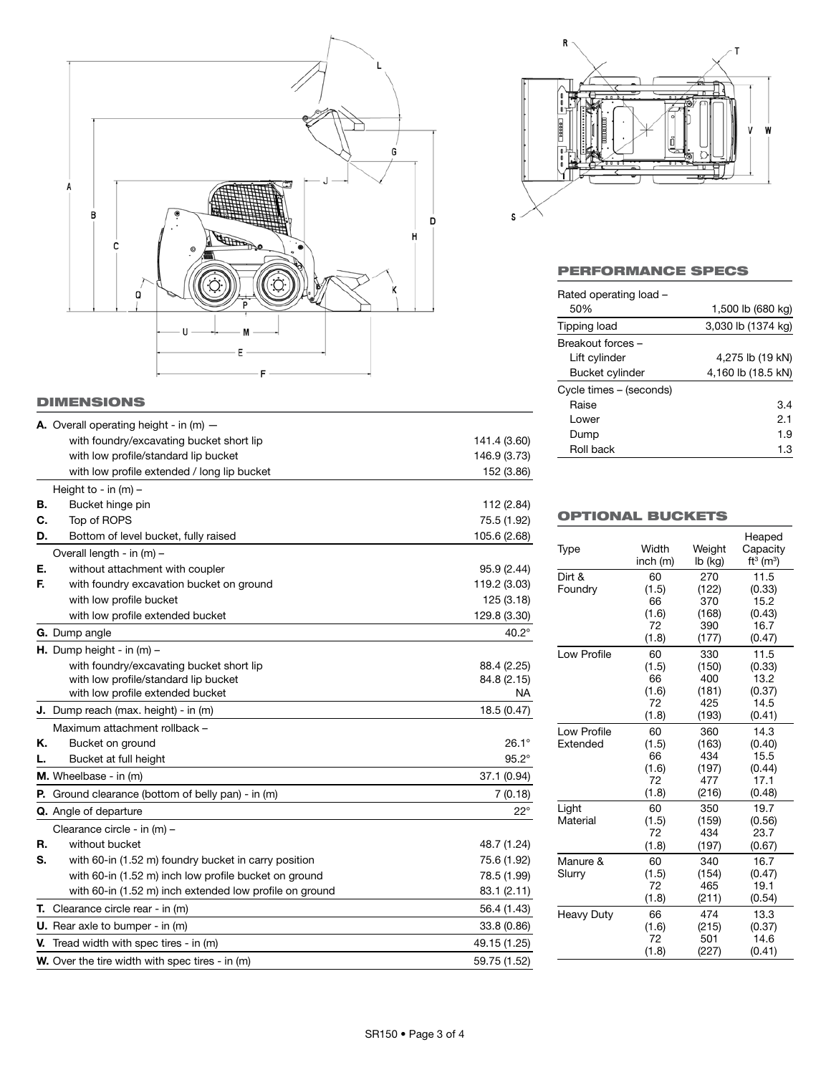

# **DIMENSIONS**

|    | <b>A.</b> Overall operating height - in $(m)$ -             |              |
|----|-------------------------------------------------------------|--------------|
|    | with foundry/excavating bucket short lip                    | 141.4 (3.60) |
|    | with low profile/standard lip bucket                        | 146.9 (3.73) |
|    | with low profile extended / long lip bucket                 | 152 (3.86)   |
|    | Height to - in $(m)$ -                                      |              |
| В. | Bucket hinge pin                                            | 112 (2.84)   |
| С. | Top of ROPS                                                 | 75.5 (1.92)  |
| D. | Bottom of level bucket, fully raised                        | 105.6 (2.68) |
|    | Overall length - in (m) -                                   |              |
| Е. | without attachment with coupler                             | 95.9 (2.44)  |
| F. | with foundry excavation bucket on ground                    | 119.2 (3.03) |
|    | with low profile bucket                                     | 125 (3.18)   |
|    | with low profile extended bucket                            | 129.8 (3.30) |
|    | <b>G.</b> Dump angle                                        | $40.2^\circ$ |
|    | <b>H.</b> Dump height - in $(m)$ –                          |              |
|    | with foundry/excavating bucket short lip                    | 88.4 (2.25)  |
|    | with low profile/standard lip bucket                        | 84.8 (2.15)  |
|    | with low profile extended bucket                            | NA.          |
|    | <b>J.</b> Dump reach (max. height) - in (m)                 | 18.5 (0.47)  |
|    | Maximum attachment rollback -                               |              |
| Κ. | Bucket on ground                                            | $26.1^\circ$ |
| L. | Bucket at full height                                       | $95.2^\circ$ |
|    | M. Wheelbase - in (m)                                       | 37.1 (0.94)  |
|    | <b>P.</b> Ground clearance (bottom of belly pan) - in $(m)$ | 7(0.18)      |
|    | <b>Q.</b> Angle of departure                                | $22^{\circ}$ |
|    | Clearance circle - in (m) -                                 |              |
| R. | without bucket                                              | 48.7 (1.24)  |
| S. | with 60-in (1.52 m) foundry bucket in carry position        | 75.6 (1.92)  |
|    | with 60-in (1.52 m) inch low profile bucket on ground       | 78.5 (1.99)  |
|    | with 60-in (1.52 m) inch extended low profile on ground     | 83.1 (2.11)  |
|    | T. Clearance circle rear - in (m)                           | 56.4 (1.43)  |
|    | <b>U.</b> Rear axle to bumper - in $(m)$                    | 33.8 (0.86)  |
|    | <b>V.</b> Tread width with spec tires - in $(m)$            | 49.15 (1.25) |
|    | <b>W.</b> Over the tire width with spec tires - in (m)      | 59.75 (1.52) |



# Performance Specs

| Rated operating load -  |                    |  |  |
|-------------------------|--------------------|--|--|
| 50%                     | 1,500 lb (680 kg)  |  |  |
| Tipping load            | 3,030 lb (1374 kg) |  |  |
| Breakout forces-        |                    |  |  |
| Lift cylinder           | 4,275 lb (19 kN)   |  |  |
| Bucket cylinder         | 4,160 lb (18.5 kN) |  |  |
| Cycle times – (seconds) |                    |  |  |
| Raise                   | 3.4                |  |  |
| I ower                  | 2.1                |  |  |
| Dump                    | 1.9                |  |  |
| Roll back               | 1.3                |  |  |
|                         |                    |  |  |

# OPTIONAL BUCKETS

|                   |          |         | Heaped                   |
|-------------------|----------|---------|--------------------------|
| Type              | Width    | Weight  | Capacity                 |
|                   | inch (m) | lb (kg) | $ft^3$ (m <sup>3</sup> ) |
| Dirt &            | 60       | 270     | 11.5                     |
| Foundry           | (1.5)    | (122)   | (0.33)                   |
|                   | 66       | 370     | 15.2                     |
|                   | (1.6)    | (168)   | (0.43)                   |
|                   | 72       | 390     | 16.7                     |
|                   | (1.8)    | (177)   | (0.47)                   |
| Low Profile       | 60       | 330     | 11.5                     |
|                   | (1.5)    | (150)   | (0.33)                   |
|                   | 66       | 400     | 13.2                     |
|                   | (1.6)    | (181)   | (0.37)                   |
|                   | 72       | 425     | 14.5                     |
|                   | (1.8)    | (193)   | (0.41)                   |
| Low Profile       | 60       | 360     | 14.3                     |
| Extended          | (1.5)    | (163)   | (0.40)                   |
|                   | 66       | 434     | 15.5                     |
|                   | (1.6)    | (197)   | (0.44)                   |
|                   | 72       | 477     | 17.1                     |
|                   | (1.8)    | (216)   | (0.48)                   |
| Light             | 60       | 350     | 19.7                     |
| Material          | (1.5)    | (159)   | (0.56)                   |
|                   | 72       | 434     | 23.7                     |
|                   | (1.8)    | (197)   | (0.67)                   |
| Manure &          | 60       | 340     | 16.7                     |
| Slurry            | (1.5)    | (154)   | (0.47)                   |
|                   | 72       | 465     | 19.1                     |
|                   | (1.8)    | (211)   | (0.54)                   |
| <b>Heavy Duty</b> | 66       | 474     | 13.3                     |
|                   | (1.6)    | (215)   | (0.37)                   |
|                   | 72       | 501     | 14.6                     |
|                   | (1.8)    | (227)   | (0.41)                   |